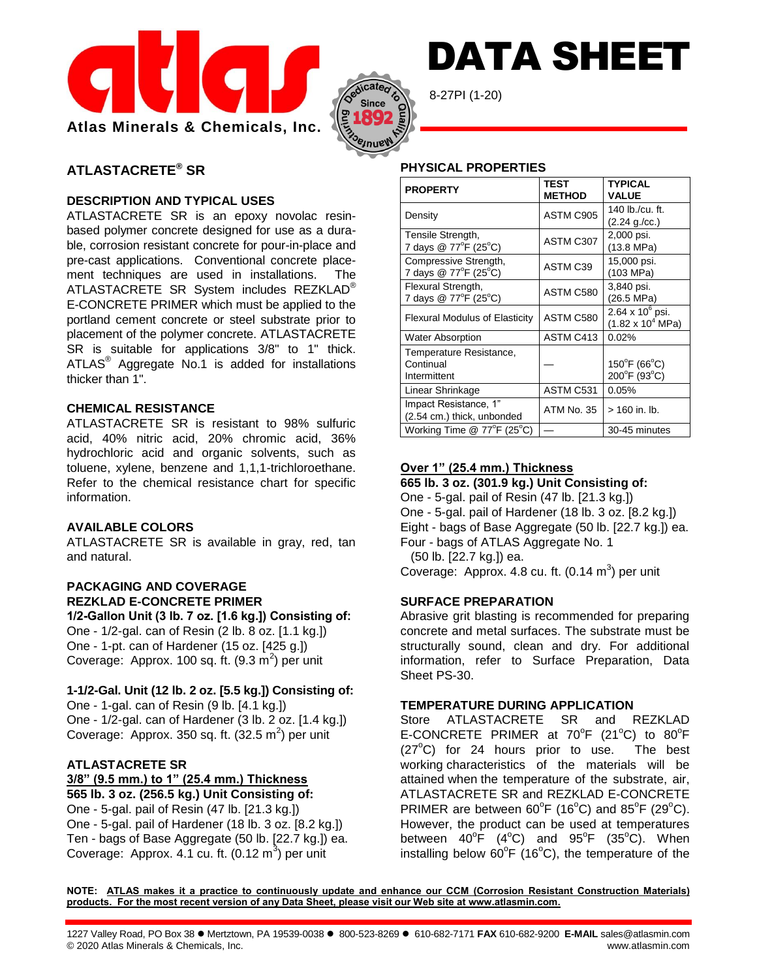



8-27PI (1-20)

# **ATLASTACRETE® SR**

## **DESCRIPTION AND TYPICAL USES**

ATLASTACRETE SR is an epoxy novolac resinbased polymer concrete designed for use as a durable, corrosion resistant concrete for pour-in-place and pre-cast applications. Conventional concrete placement techniques are used in installations. The ATLASTACRETE SR System includes REZKLAD® E-CONCRETE PRIMER which must be applied to the portland cement concrete or steel substrate prior to placement of the polymer concrete. ATLASTACRETE SR is suitable for applications 3/8" to 1" thick. ATLAS<sup>®</sup> Aggregate No.1 is added for installations thicker than 1".

### **CHEMICAL RESISTANCE**

ATLASTACRETE SR is resistant to 98% sulfuric acid, 40% nitric acid, 20% chromic acid, 36% hydrochloric acid and organic solvents, such as toluene, xylene, benzene and 1,1,1-trichloroethane. Refer to the chemical resistance chart for specific information.

## **AVAILABLE COLORS**

ATLASTACRETE SR is available in gray, red, tan and natural.

# **PACKAGING AND COVERAGE REZKLAD E-CONCRETE PRIMER**

**1/2-Gallon Unit (3 lb. 7 oz. [1.6 kg.]) Consisting of:** One - 1/2-gal. can of Resin (2 lb. 8 oz. [1.1 kg.]) One - 1-pt. can of Hardener (15 oz. [425 g.]) Coverage: Approx. 100 sq. ft.  $(9.3 \text{ m}^2)$  per unit

## **1-1/2-Gal. Unit (12 lb. 2 oz. [5.5 kg.]) Consisting of:**

One - 1-gal. can of Resin (9 lb. [4.1 kg.]) One - 1/2-gal. can of Hardener (3 lb. 2 oz. [1.4 kg.]) Coverage: Approx. 350 sq. ft.  $(32.5 \text{ m}^2)$  per unit

## **ATLASTACRETE SR**

**3/8" (9.5 mm.) to 1" (25.4 mm.) Thickness**

**565 lb. 3 oz. (256.5 kg.) Unit Consisting of:** One - 5-gal. pail of Resin (47 lb. [21.3 kg.]) One - 5-gal. pail of Hardener (18 lb. 3 oz. [8.2 kg.]) Ten - bags of Base Aggregate (50 lb. [22.7 kg.]) ea. Coverage: Approx. 4.1 cu. ft.  $(0.12 \text{ m}^3)$  per unit

## **PHYSICAL PROPERTIES**

| <b>PROPERTY</b>                                        | TEST<br><b>METHOD</b> | TYPICAL<br><b>VALUE</b>                                     |
|--------------------------------------------------------|-----------------------|-------------------------------------------------------------|
| Density                                                | ASTM C905             | 140 lb./cu. ft.<br>(2.24 g./cc.)                            |
| Tensile Strength,<br>7 days @ 77°F (25°C)              | ASTM C307             | 2,000 psi.<br>(13.8 MPa)                                    |
| Compressive Strength,<br>7 days @ 77°F (25°C)          | ASTM C39              | 15,000 psi.<br>(103 MPa)                                    |
| Flexural Strength,<br>7 days @ 77°F (25°C)             | ASTM C580             | 3,840 psi.<br>(26.5 MPa)                                    |
| Flexural Modulus of Elasticity                         | ASTM C580             | $2.64 \times 10^6$ psi.<br>$(1.82 \times 10^4 \text{ MPa})$ |
| <b>Water Absorption</b>                                | ASTM C413             | 0.02%                                                       |
| Temperature Resistance,<br>Continual<br>Intermittent   |                       | $150^{\circ}$ F (66 $^{\circ}$ C)<br>200°F (93°C)           |
| Linear Shrinkage                                       | ASTM C531             | 0.05%                                                       |
| Impact Resistance, 1"<br>(2.54 cm.) thick, unbonded    | ATM No. 35            | $> 160$ in. lb.                                             |
| Working Time $@$ 77 ${}^{\circ}$ F (25 ${}^{\circ}$ C) |                       | 30-45 minutes                                               |

DATA SHEET

#### **Over 1" (25.4 mm.) Thickness 665 lb. 3 oz. (301.9 kg.) Unit Consisting of:**

One - 5-gal. pail of Resin (47 lb. [21.3 kg.]) One - 5-gal. pail of Hardener (18 lb. 3 oz. [8.2 kg.]) Eight - bags of Base Aggregate (50 lb. [22.7 kg.]) ea. Four - bags of ATLAS Aggregate No. 1 (50 lb. [22.7 kg.]) ea.

Coverage: Approx. 4.8 cu. ft.  $(0.14 \text{ m}^3)$  per unit

## **SURFACE PREPARATION**

Abrasive grit blasting is recommended for preparing concrete and metal surfaces. The substrate must be structurally sound, clean and dry. For additional information, refer to Surface Preparation, Data Sheet PS-30.

### **TEMPERATURE DURING APPLICATION**

Store ATLASTACRETE SR and REZKLAD E-CONCRETE PRIMER at  $70^{\circ}F$  (21<sup>o</sup>C) to  $80^{\circ}F$  $(27^{\circ}$ C) for 24 hours prior to use. The best working characteristics of the materials will be attained when the temperature of the substrate, air, ATLASTACRETE SR and REZKLAD E-CONCRETE PRIMER are between  $60^{\circ}$ F (16 $^{\circ}$ C) and  $85^{\circ}$ F (29 $^{\circ}$ C). However, the product can be used at temperatures between  $40^{\circ}$ F (4 $^{\circ}$ C) and 95 $^{\circ}$ F (35 $^{\circ}$ C). When installing below  $60^{\circ}F$  (16 $^{\circ}C$ ), the temperature of the

**NOTE: ATLAS makes it a practice to continuously update and enhance our CCM (Corrosion Resistant Construction Materials) products. For the most recent version of any Data Sheet, please visit our Web site at www.atlasmin.com.**

1227 Valley Road, PO Box 38 Mertztown, PA 19539-0038 800-523-8269 610-682-7171 **FAX** 610-682-9200 **E-MAIL** sales@atlasmin.com © 2020 Atlas Minerals & Chemicals, Inc. www.atlasmin.com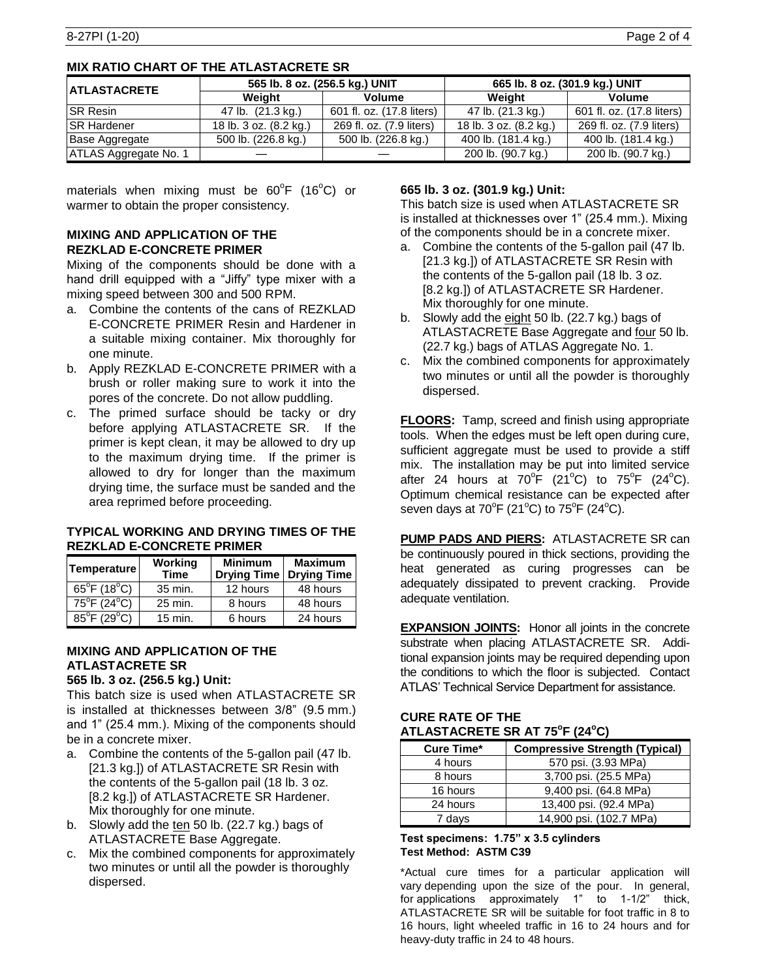| <b>ATLASTACRETE</b>   | 565 lb. 8 oz. (256.5 kg.) UNIT |                           | 665 lb. 8 oz. (301.9 kg.) UNIT |                           |  |
|-----------------------|--------------------------------|---------------------------|--------------------------------|---------------------------|--|
|                       | Weiaht                         | Volume                    | Weiaht                         | Volume                    |  |
| <b>ISR Resin</b>      | 47 lb. (21.3 kg.)              | 601 fl. oz. (17.8 liters) | 47 lb. (21.3 kg.)              | 601 fl. oz. (17.8 liters) |  |
| <b>ISR Hardener</b>   | 18 lb. 3 oz. (8.2 kg.)         | 269 fl. oz. (7.9 liters)  | 18 lb. 3 oz. (8.2 kg.)         | 269 fl. oz. (7.9 liters)  |  |
| Base Aggregate        | 500 lb. (226.8 kg.)            | 500 lb. (226.8 kg.)       | 400 lb. (181.4 kg.)            | 400 lb. (181.4 kg.)       |  |
| ATLAS Aggregate No. 1 |                                |                           | 200 lb. (90.7 kg.)             | 200 lb. (90.7 kg.)        |  |

materials when mixing must be  $60^{\circ}$ F (16 $^{\circ}$ C) or warmer to obtain the proper consistency.

### **MIXING AND APPLICATION OF THE REZKLAD E-CONCRETE PRIMER**

Mixing of the components should be done with a hand drill equipped with a "Jiffy" type mixer with a mixing speed between 300 and 500 RPM.

- a. Combine the contents of the cans of REZKLAD E-CONCRETE PRIMER Resin and Hardener in a suitable mixing container. Mix thoroughly for one minute.
- b. Apply REZKLAD E-CONCRETE PRIMER with a brush or roller making sure to work it into the pores of the concrete. Do not allow puddling.
- c. The primed surface should be tacky or dry before applying ATLASTACRETE SR. If the primer is kept clean, it may be allowed to dry up to the maximum drying time. If the primer is allowed to dry for longer than the maximum drying time, the surface must be sanded and the area reprimed before proceeding.

### **TYPICAL WORKING AND DRYING TIMES OF THE REZKLAD E-CONCRETE PRIMER**

| Temperature                      | Working<br><b>Time</b> | <b>Minimum</b><br><b>Drying Time</b> | <b>Maximum</b><br><b>Drying Time</b> |
|----------------------------------|------------------------|--------------------------------------|--------------------------------------|
| $65^{\circ}$ F (18 $^{\circ}$ C) | 35 min.                | 12 hours                             | 48 hours                             |
| $75^{\circ}$ F (24 $^{\circ}$ C) | 25 min.                | 8 hours                              | 48 hours                             |
| $85^{\circ}$ F (29 $^{\circ}$ C) | $15$ min.              | 6 hours                              | 24 hours                             |

# **MIXING AND APPLICATION OF THE ATLASTACRETE SR**

**565 lb. 3 oz. (256.5 kg.) Unit:** This batch size is used when ATLASTACRETE SR is installed at thicknesses between 3/8" (9.5 mm.) and 1" (25.4 mm.). Mixing of the components should be in a concrete mixer.

- a. Combine the contents of the 5-gallon pail (47 lb. [21.3 kg.]) of ATLASTACRETE SR Resin with the contents of the 5-gallon pail (18 lb. 3 oz. [8.2 kg.]) of ATLASTACRETE SR Hardener. Mix thoroughly for one minute.
- b. Slowly add the ten 50 lb. (22.7 kg.) bags of ATLASTACRETE Base Aggregate.
- c. Mix the combined components for approximately two minutes or until all the powder is thoroughly dispersed.

## **665 lb. 3 oz. (301.9 kg.) Unit:**

This batch size is used when ATLASTACRETE SR is installed at thicknesses over 1" (25.4 mm.). Mixing of the components should be in a concrete mixer.

- a. Combine the contents of the 5-gallon pail (47 lb. [21.3 kg.]) of ATLASTACRETE SR Resin with the contents of the 5-gallon pail (18 lb. 3 oz. [8.2 kg.]) of ATLASTACRETE SR Hardener. Mix thoroughly for one minute.
- b. Slowly add the eight 50 lb. (22.7 kg.) bags of ATLASTACRETE Base Aggregate and four 50 lb. (22.7 kg.) bags of ATLAS Aggregate No. 1.
- c. Mix the combined components for approximately two minutes or until all the powder is thoroughly dispersed.

**FLOORS:** Tamp, screed and finish using appropriate tools. When the edges must be left open during cure, sufficient aggregate must be used to provide a stiff mix. The installation may be put into limited service after 24 hours at 70<sup>o</sup>F (21<sup>o</sup>C) to 75<sup>o</sup>F (24<sup>o</sup>C). Optimum chemical resistance can be expected after seven days at 70 $\mathrm{^{\circ}F}$  (21 $\mathrm{^{\circ}C}$ ) to 75 $\mathrm{^{\circ}F}$  (24 $\mathrm{^{\circ}C}$ ).

**PUMP PADS AND PIERS:** ATLASTACRETE SR can be continuously poured in thick sections, providing the heat generated as curing progresses can be adequately dissipated to prevent cracking. Provide adequate ventilation.

**EXPANSION JOINTS:** Honor all joints in the concrete substrate when placing ATLASTACRETE SR. Additional expansion joints may be required depending upon the conditions to which the floor is subjected. Contact ATLAS' Technical Service Department for assistance.

### **CURE RATE OF THE ATLASTACRETE SR AT 75<sup>o</sup> F (24<sup>o</sup>C)**

| <b>Cure Time*</b> | <b>Compressive Strength (Typical)</b> |
|-------------------|---------------------------------------|
| 4 hours           | 570 psi. (3.93 MPa)                   |
| 8 hours           | 3,700 psi. (25.5 MPa)                 |
| 16 hours          | 9,400 psi. (64.8 MPa)                 |
| 24 hours          | 13,400 psi. (92.4 MPa)                |
| 7 days            | 14,900 psi. (102.7 MPa)               |

#### **Test specimens: 1.75" x 3.5 cylinders Test Method: ASTM C39**

\*Actual cure times for a particular application will vary depending upon the size of the pour. In general, for applications approximately 1" to 1-1/2" thick, ATLASTACRETE SR will be suitable for foot traffic in 8 to 16 hours, light wheeled traffic in 16 to 24 hours and for heavy-duty traffic in 24 to 48 hours.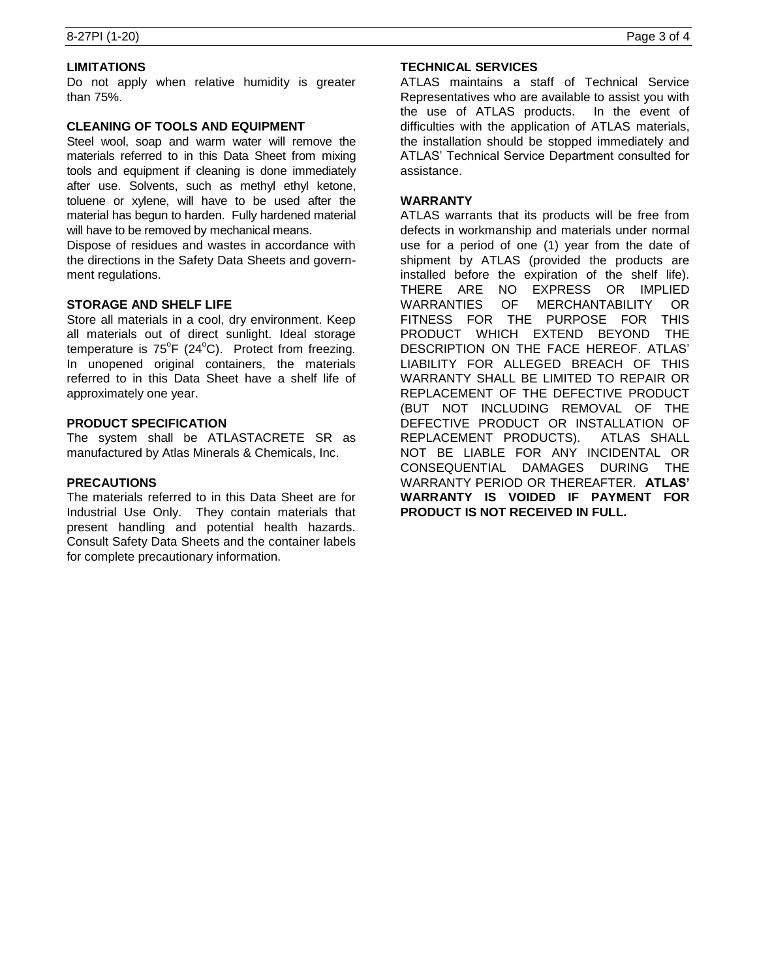### **LIMITATIONS**

Do not apply when relative humidity is greater than 75%.

#### **CLEANING OF TOOLS AND EQUIPMENT**

Steel wool, soap and warm water will remove the materials referred to in this Data Sheet from mixing tools and equipment if cleaning is done immediately after use. Solvents, such as methyl ethyl ketone, toluene or xylene, will have to be used after the material has begun to harden. Fully hardened material will have to be removed by mechanical means.

Dispose of residues and wastes in accordance with the directions in the Safety Data Sheets and government regulations.

### **STORAGE AND SHELF LIFE**

Store all materials in a cool, dry environment. Keep all materials out of direct sunlight. Ideal storage temperature is  $75^{\circ}F$  (24 $^{\circ}C$ ). Protect from freezing. In unopened original containers, the materials referred to in this Data Sheet have a shelf life of approximately one year.

### **PRODUCT SPECIFICATION**

The system shall be ATLASTACRETE SR as manufactured by Atlas Minerals & Chemicals, Inc.

### **PRECAUTIONS**

The materials referred to in this Data Sheet are for Industrial Use Only. They contain materials that present handling and potential health hazards. Consult Safety Data Sheets and the container labels for complete precautionary information.

### **TECHNICAL SERVICES**

ATLAS maintains a staff of Technical Service Representatives who are available to assist you with the use of ATLAS products. In the event of difficulties with the application of ATLAS materials, the installation should be stopped immediately and ATLAS' Technical Service Department consulted for assistance.

#### **WARRANTY**

ATLAS warrants that its products will be free from defects in workmanship and materials under normal use for a period of one (1) year from the date of shipment by ATLAS (provided the products are installed before the expiration of the shelf life). THERE ARE NO EXPRESS OR IMPLIED WARRANTIES OF MERCHANTABILITY OR FITNESS FOR THE PURPOSE FOR THIS PRODUCT WHICH EXTEND BEYOND THE DESCRIPTION ON THE FACE HEREOF. ATLAS' LIABILITY FOR ALLEGED BREACH OF THIS WARRANTY SHALL BE LIMITED TO REPAIR OR REPLACEMENT OF THE DEFECTIVE PRODUCT (BUT NOT INCLUDING REMOVAL OF THE DEFECTIVE PRODUCT OR INSTALLATION OF REPLACEMENT PRODUCTS). ATLAS SHALL NOT BE LIABLE FOR ANY INCIDENTAL OR CONSEQUENTIAL DAMAGES DURING THE WARRANTY PERIOD OR THEREAFTER. **ATLAS' WARRANTY IS VOIDED IF PAYMENT FOR PRODUCT IS NOT RECEIVED IN FULL.**